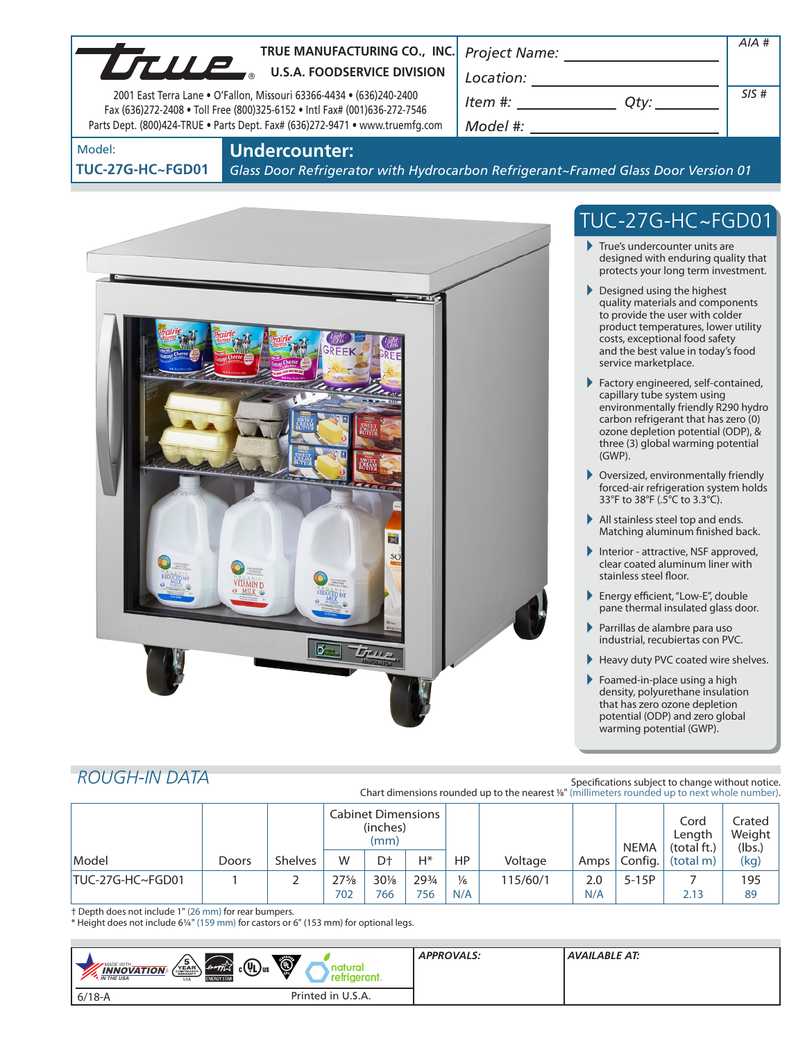| TRUE MANUFACTURING CO., INC. Project Name:                                                                                                        |                 | AIA# |
|---------------------------------------------------------------------------------------------------------------------------------------------------|-----------------|------|
| LTULE<br><b>U.S.A. FOODSERVICE DIVISION</b>                                                                                                       | Location:       |      |
| 2001 East Terra Lane . O'Fallon, Missouri 63366-4434 . (636)240-2400<br>Fax (636)272-2408 . Toll Free (800)325-6152 . Intl Fax# (001)636-272-7546 | ltem #:<br>Otv: | SIS# |
| Parts Dept. (800)424-TRUE • Parts Dept. Fax# (636)272-9471 • www.truemfg.com                                                                      | Model #:        |      |

Model:

**Undercounter:**

**TUC-27G-HC~FGD01**

*Glass Door Refrigerator with Hydrocarbon Refrigerant~Framed Glass Door Version 01*



# TUC-27G-HC~FGD01

- True's undercounter units are designed with enduring quality that protects your long term investment.
- Designed using the highest quality materials and components to provide the user with colder product temperatures, lower utility costs, exceptional food safety and the best value in today's food service marketplace.
- Factory engineered, self-contained, capillary tube system using environmentally friendly R290 hydro carbon refrigerant that has zero (0) ozone depletion potential (ODP), & three (3) global warming potential (GWP).
- Oversized, environmentally friendly forced-air refrigeration system holds 33°F to 38°F (.5°C to 3.3°C).
- All stainless steel top and ends. Matching aluminum finished back.
- Interior attractive, NSF approved, clear coated aluminum liner with stainless steel floor.
- ▶ Energy efficient, "Low-E", double pane thermal insulated glass door.
- Parrillas de alambre para uso industrial, recubiertas con PVC.
- Heavy duty PVC coated wire shelves.
- Foamed-in-place using a high density, polyurethane insulation that has zero ozone depletion potential (ODP) and zero global warming potential (GWP).

# *ROUGH-IN DATA*

Specifications subject to change without notice. Chart dimensions rounded up to the nearest %" (millimeters rounded up to next whole number).

|                  |       |                | Cabinet Dimensions<br>(inches)<br>(mm) |                |       |               |          | <b>NEMA</b>       | Cord<br>Lenath<br>(total ft.) | Crated<br>Weight<br>(lbs.) |      |
|------------------|-------|----------------|----------------------------------------|----------------|-------|---------------|----------|-------------------|-------------------------------|----------------------------|------|
| Model            | Doors | <b>Shelves</b> | W                                      | D <sup>+</sup> | Н*    | HP            | Voltage  | Amps <sup>1</sup> | Config.                       | (total m)                  | (kg) |
| TUC-27G-HC~FGD01 |       |                | $27\frac{5}{8}$                        | $30\%$         | 293/4 | $\frac{1}{6}$ | 115/60/1 | 2.0               | $5-15P$                       |                            | 195  |
|                  |       |                | 702                                    | 766            | 756   | N/A           |          | N/A               |                               | 2.13                       | 89   |

† Depth does not include 1" (26 mm) for rear bumpers.

\* Height does not include 61/4" (159 mm) for castors or 6" (153 mm) for optional legs.

| $\sqrt{\frac{5}{\sum_{\text{vectors}}}$<br>$\bigcirc$<br>$c(\psi_L)$ us<br><b>MADE WITH_</b><br>energy<br><b>INNOVATION</b><br>'efrigerant.<br><b>N</b> THE USA<br><b>ENERGY STAR</b><br><b>USA</b> | <b>APPROVALS:</b> | AVAILABLE AT: |
|-----------------------------------------------------------------------------------------------------------------------------------------------------------------------------------------------------|-------------------|---------------|
| Printed in U.S.A.<br>$6/18 - A$                                                                                                                                                                     |                   |               |